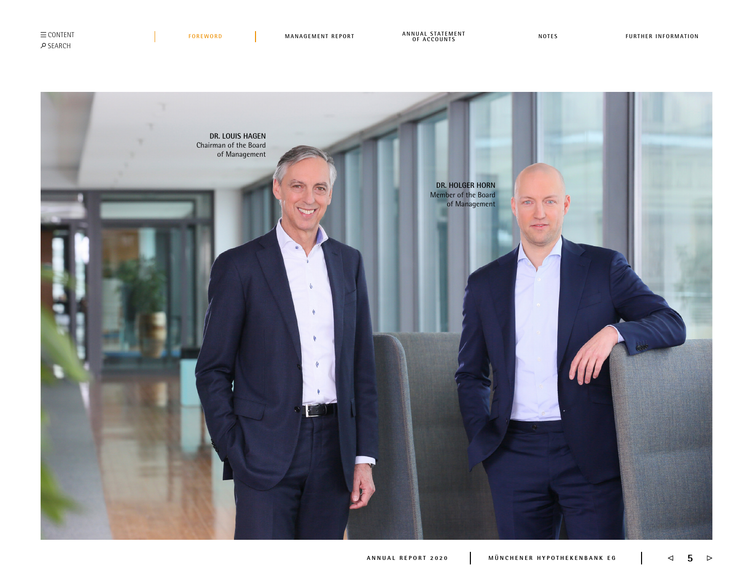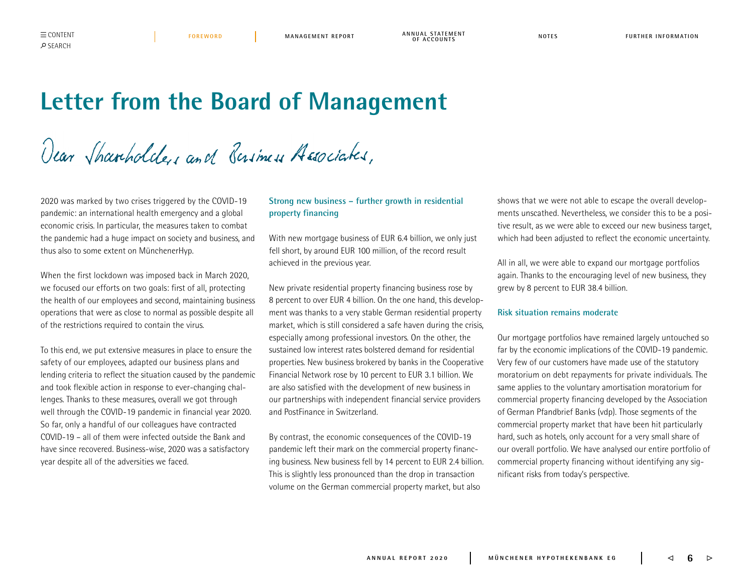<span id="page-1-0"></span>CONTENT REPORT REPORT ANNUAL STATEMENT AND MAT AND A LONTENT AND MATES TO REPORTATION TO A LONTES AND MATES AND MATES

# **Letter from the Board of Management**

Dear Sharholders and Basiness Associates,

2020 was marked by two crises triggered by the COVID-19 pandemic: an international health emergency and a global economic crisis. In particular, the measures taken to combat the pandemic had a huge impact on society and business, and thus also to some extent on MünchenerHyp.

When the first lockdown was imposed back in March 2020, we focused our efforts on two goals: first of all, protecting the health of our employees and second, maintaining business operations that were as close to normal as possible despite all of the restrictions required to contain the virus.

To this end, we put extensive measures in place to ensure the safety of our employees, adapted our business plans and lending criteria to reflect the situation caused by the pandemic and took flexible action in response to ever-changing challenges. Thanks to these measures, overall we got through well through the COVID-19 pandemic in financial year 2020. So far, only a handful of our colleagues have contracted COVID-19 – all of them were infected outside the Bank and have since recovered. Business-wise, 2020 was a satisfactory year despite all of the adversities we faced.

## **Strong new business – further growth in residential property financing**

With new mortgage business of EUR 6.4 billion, we only just fell short, by around EUR 100 million, of the record result achieved in the previous year.

New private residential property financing business rose by 8 percent to over EUR 4 billion. On the one hand, this development was thanks to a very stable German residential property market, which is still considered a safe haven during the crisis, especially among professional investors. On the other, the sustained low interest rates bolstered demand for residential properties. New business brokered by banks in the Cooperative Financial Network rose by 10 percent to EUR 3.1 billion. We are also satisfied with the development of new business in our partnerships with independent financial service providers and PostFinance in Switzerland.

By contrast, the economic consequences of the COVID-19 pandemic left their mark on the commercial property financing business. New business fell by 14 percent to EUR 2.4 billion. This is slightly less pronounced than the drop in transaction volume on the German commercial property market, but also

shows that we were not able to escape the overall developments unscathed. Nevertheless, we consider this to be a positive result, as we were able to exceed our new business target, which had been adjusted to reflect the economic uncertainty.

All in all, we were able to expand our mortgage portfolios again. Thanks to the encouraging level of new business, they grew by 8 percent to EUR 38.4 billion.

### **Risk situation remains moderate**

Our mortgage portfolios have remained largely untouched so far by the economic implications of the COVID-19 pandemic. Very few of our customers have made use of the statutory moratorium on debt repayments for private individuals. The same applies to the voluntary amortisation moratorium for commercial property financing developed by the Association of German Pfandbrief Banks (vdp). Those segments of the commercial property market that have been hit particularly hard, such as hotels, only account for a very small share of our overall portfolio. We have analysed our entire portfolio of commercial property financing without identifying any significant risks from today's perspective.